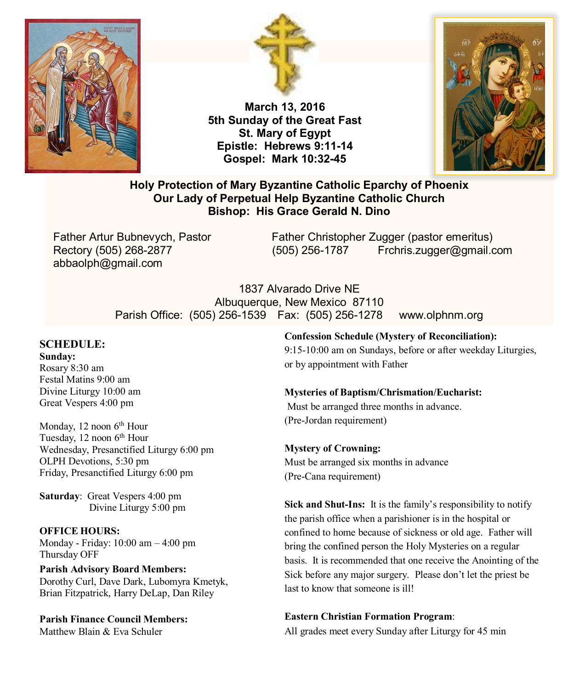



**March 13, 2016 5th Sunday of the Great Fast St. Mary of Egypt Epistle: Hebrews 9:11-14 Gospel: Mark 10:32-45**



# **Holy Protection of Mary Byzantine Catholic Eparchy of Phoenix Our Lady of Perpetual Help Byzantine Catholic Church Bishop: His Grace Gerald N. Dino**

abbaolph@gmail.com

Father Artur Bubnevych, Pastor Father Christopher Zugger (pastor emeritus) Rectory (505) 268-2877 (505) 256-1787 Frchris.zugger@gmail.com

> 1837 Alvarado Drive NE Albuquerque, New Mexico 87110 Parish Office: (505) 256-1539 Fax: (505) 256-1278 www.olphnm.org

# **SCHEDULE:**

**Sunday:** Rosary 8:30 am Festal Matins 9:00 am Divine Liturgy 10:00 am Great Vespers 4:00 pm

Monday, 12 noon 6<sup>th</sup> Hour Tuesday, 12 noon 6<sup>th</sup> Hour Wednesday, Presanctified Liturgy 6:00 pm OLPH Devotions, 5:30 pm Friday, Presanctified Liturgy 6:00 pm

**Saturday**: Great Vespers 4:00 pm Divine Liturgy 5:00 pm

#### **OFFICE HOURS:**

Monday - Friday: 10:00 am – 4:00 pm Thursday OFF

**Parish Advisory Board Members:** Dorothy Curl, Dave Dark, Lubomyra Kmetyk, Brian Fitzpatrick, Harry DeLap, Dan Riley

**Parish Finance Council Members:** Matthew Blain & Eva Schuler

#### **Confession Schedule (Mystery of Reconciliation):**

9:15-10:00 am on Sundays, before or after weekday Liturgies, or by appointment with Father

#### **Mysteries of Baptism/Chrismation/Eucharist:**

Must be arranged three months in advance. (Pre-Jordan requirement)

# **Mystery of Crowning:**

Must be arranged six months in advance (Pre-Cana requirement)

**Sick and Shut-Ins:** It is the family's responsibility to notify the parish office when a parishioner is in the hospital or confined to home because of sickness or old age. Father will bring the confined person the Holy Mysteries on a regular basis. It is recommended that one receive the Anointing of the Sick before any major surgery. Please don't let the priest be last to know that someone is ill!

# **Eastern Christian Formation Program**:

All grades meet every Sunday after Liturgy for 45 min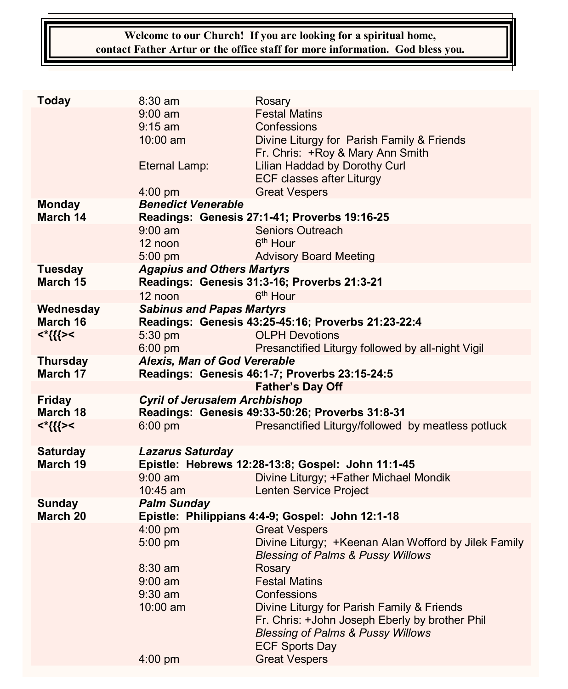# **Welcome to our Church! If you are looking for a spiritual home, contact Father Artur or the office staff for more information. God bless you.**

| <b>Today</b>    | 8:30 am                                                                      | Rosary                                               |
|-----------------|------------------------------------------------------------------------------|------------------------------------------------------|
|                 | $9:00 \text{ am}$                                                            | <b>Festal Matins</b>                                 |
|                 | $9:15 \text{ am}$                                                            | Confessions                                          |
|                 | $10:00$ am                                                                   | Divine Liturgy for Parish Family & Friends           |
|                 |                                                                              | Fr. Chris: +Roy & Mary Ann Smith                     |
|                 | Eternal Lamp:                                                                | Lilian Haddad by Dorothy Curl                        |
|                 |                                                                              | <b>ECF classes after Liturgy</b>                     |
|                 | $4:00$ pm                                                                    | <b>Great Vespers</b>                                 |
| <b>Monday</b>   | <b>Benedict Venerable</b>                                                    |                                                      |
| March 14        | Readings: Genesis 27:1-41; Proverbs 19:16-25                                 |                                                      |
|                 | $9:00$ am                                                                    | Seniors Outreach                                     |
|                 | 12 noon                                                                      | 6 <sup>th</sup> Hour                                 |
|                 | 5:00 pm                                                                      | <b>Advisory Board Meeting</b>                        |
| <b>Tuesday</b>  | <b>Agapius and Others Martyrs</b>                                            |                                                      |
| March 15        |                                                                              | Readings: Genesis 31:3-16; Proverbs 21:3-21          |
|                 | 12 noon                                                                      | 6 <sup>th</sup> Hour                                 |
| Wednesday       | <b>Sabinus and Papas Martyrs</b>                                             |                                                      |
| March 16        |                                                                              | Readings: Genesis 43:25-45:16; Proverbs 21:23-22:4   |
| $<\!\!\{$       | 5:30 pm                                                                      | <b>OLPH Devotions</b>                                |
|                 | 6:00 pm                                                                      | Presanctified Liturgy followed by all-night Vigil    |
| <b>Thursday</b> | Alexis, Man of God Vererable                                                 |                                                      |
| March 17        |                                                                              | Readings: Genesis 46:1-7; Proverbs 23:15-24:5        |
|                 |                                                                              | <b>Father's Day Off</b>                              |
| <b>Friday</b>   | <b>Cyril of Jerusalem Archbishop</b>                                         |                                                      |
| March 18        |                                                                              | Readings: Genesis 49:33-50:26; Proverbs 31:8-31      |
| <*{{{><         | $6:00$ pm                                                                    | Presanctified Liturgy/followed by meatless potluck   |
| <b>Saturday</b> |                                                                              |                                                      |
| March 19        | <b>Lazarus Saturday</b><br>Epistle: Hebrews 12:28-13:8; Gospel: John 11:1-45 |                                                      |
|                 | $9:00$ am                                                                    | Divine Liturgy; +Father Michael Mondik               |
|                 | $10:45$ am                                                                   | Lenten Service Project                               |
| <b>Sunday</b>   | <b>Palm Sunday</b>                                                           |                                                      |
| March 20        | Epistle: Philippians 4:4-9; Gospel: John 12:1-18                             |                                                      |
|                 | $4:00$ pm                                                                    | <b>Great Vespers</b>                                 |
|                 | 5:00 pm                                                                      | Divine Liturgy; +Keenan Alan Wofford by Jilek Family |
|                 |                                                                              | <b>Blessing of Palms &amp; Pussy Willows</b>         |
|                 | 8:30 am                                                                      | Rosary                                               |
|                 | $9:00$ am                                                                    | <b>Festal Matins</b>                                 |
|                 | 9:30 am                                                                      | Confessions                                          |
|                 | $10:00$ am                                                                   | Divine Liturgy for Parish Family & Friends           |
|                 |                                                                              | Fr. Chris: +John Joseph Eberly by brother Phil       |
|                 |                                                                              | <b>Blessing of Palms &amp; Pussy Willows</b>         |
|                 |                                                                              | <b>ECF Sports Day</b>                                |
|                 | 4:00 pm                                                                      | <b>Great Vespers</b>                                 |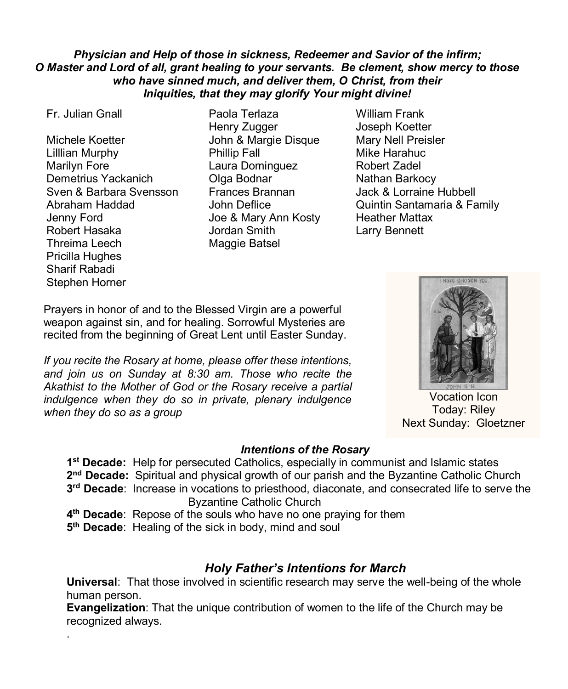# *Physician and Help of those in sickness, Redeemer and Savior of the infirm; O Master and Lord of all, grant healing to your servants. Be clement, show mercy to those who have sinned much, and deliver them, O Christ, from their Iniquities, that they may glorify Your might divine!*

.

Michele Koetter **In the State State Union & Margie Disque** Mary Nell Preisler Lilllian Murphy **Phillip Fall** Mike Harahuc Marilyn Fore Laura Dominguez Robert Zadel Demetrius Yackanich **Olga Bodnar** Nathan Barkocy Sven & Barbara Svensson Frances Brannan Jack & Lorraine Hubbell Jenny Ford Joe & Mary Ann Kosty Heather Mattax Robert Hasaka Jordan Smith Larry Bennett Threima Leech Maggie Batsel Pricilla Hughes Sharif Rabadi Stephen Horner

- Fr. Julian Gnall Paola Terlaza William Frank Henry Zugger Joseph Koetter
- Abraham Haddad John Deflice Quintin Santamaria & Family

Prayers in honor of and to the Blessed Virgin are a powerful weapon against sin, and for healing. Sorrowful Mysteries are recited from the beginning of Great Lent until Easter Sunday.

*If you recite the Rosary at home, please offer these intentions, and join us on Sunday at 8:30 am. Those who recite the Akathist to the Mother of God or the Rosary receive a partial indulgence when they do so in private, plenary indulgence when they do so as a group*

# **HAVE CHOSEN VOL**

Vocation Icon Today: Riley Next Sunday: Gloetzner

# *Intentions of the Rosary*

**1 st Decade:** Help for persecuted Catholics, especially in communist and Islamic states 2<sup>nd</sup> Decade: Spiritual and physical growth of our parish and the Byzantine Catholic Church **3 rd Decade**: Increase in vocations to priesthood, diaconate, and consecrated life to serve the Byzantine Catholic Church

**4 th Decade**: Repose of the souls who have no one praying for them

**5 th Decade**: Healing of the sick in body, mind and soul

# *Holy Father's Intentions for March*

**Universal**: That those involved in scientific research may serve the well-being of the whole human person.

**Evangelization**: That the unique contribution of women to the life of the Church may be recognized always.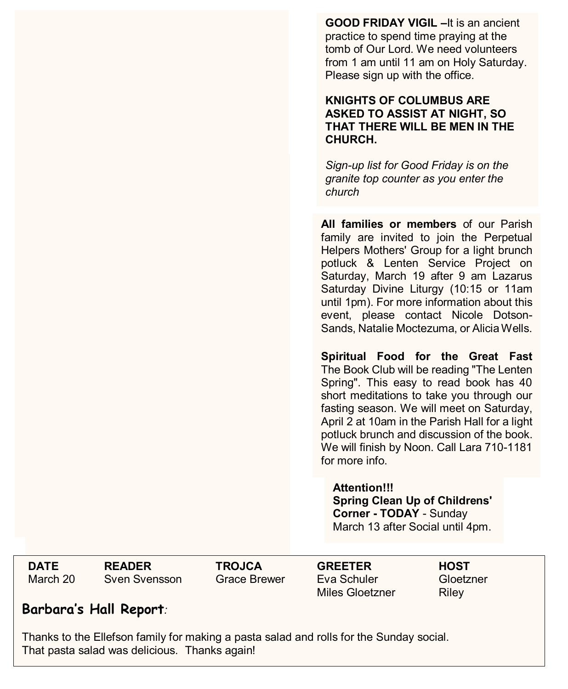**GOOD FRIDAY VIGIL –**It is an ancient practice to spend time praying at the tomb of Our Lord. We need volunteers from 1 am until 11 am on Holy Saturday. Please sign up with the office.

# **KNIGHTS OF COLUMBUS ARE ASKED TO ASSIST AT NIGHT, SO THAT THERE WILL BE MEN IN THE CHURCH.**

*Sign-up list for Good Friday is on the granite top counter as you enter the church*

**All families or members** of our Parish family are invited to join the Perpetual Helpers Mothers' Group for a light brunch potluck & Lenten Service Project on Saturday, March 19 after 9 am Lazarus Saturday Divine Liturgy (10:15 or 11am until 1pm). For more information about this event, please contact Nicole Dotson-Sands, Natalie Moctezuma, or Alicia Wells.

**Spiritual Food for the Great Fast** The Book Club will be reading "The Lenten Spring". This easy to read book has 40 short meditations to take you through our fasting season. We will meet on Saturday, April 2 at 10am in the Parish Hall for a light potluck brunch and discussion of the book. We will finish by Noon. Call Lara 710-1181 for more info.

**Attention!!! Spring Clean Up of Childrens' Corner - TODAY** - Sunday March 13 after Social until 4pm.

The Mothers group will be

March 20 Sven Svensson Grace Brewer

**DATE READER TROJCA GREETER HOST** Miles Gloetzner and Riley GREETER HOST Eva Schuler

Gloetzner Riley

# **Barbara's Hall Report***:*

Thanks to the Ellefson family for making a pasta salad and rolls for the Sunday social. That pasta salad was delicious. Thanks again!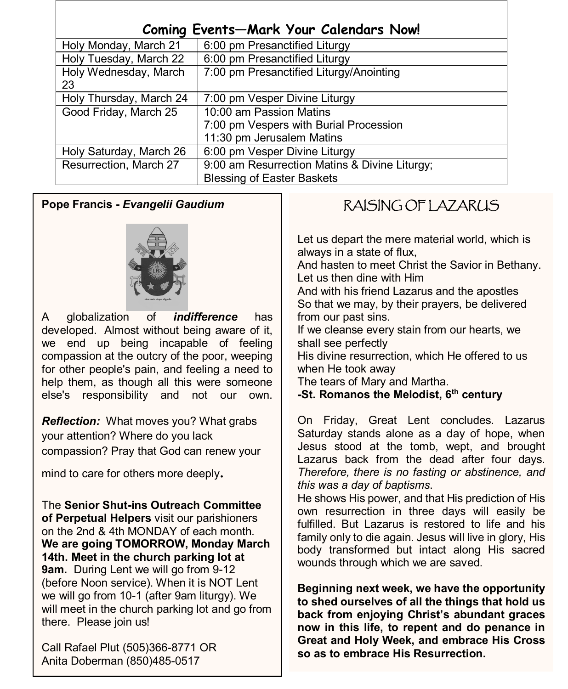| <b>Coming Events-Mark Your Calendars Now!</b> |                                               |  |
|-----------------------------------------------|-----------------------------------------------|--|
| Holy Monday, March 21                         | 6:00 pm Presanctified Liturgy                 |  |
| Holy Tuesday, March 22                        | 6:00 pm Presanctified Liturgy                 |  |
| Holy Wednesday, March<br>23                   | 7:00 pm Presanctified Liturgy/Anointing       |  |
| Holy Thursday, March 24                       | 7:00 pm Vesper Divine Liturgy                 |  |
| Good Friday, March 25                         | 10:00 am Passion Matins                       |  |
|                                               | 7:00 pm Vespers with Burial Procession        |  |
|                                               | 11:30 pm Jerusalem Matins                     |  |
| Holy Saturday, March 26                       | 6:00 pm Vesper Divine Liturgy                 |  |
| Resurrection, March 27                        | 9:00 am Resurrection Matins & Divine Liturgy; |  |
|                                               | <b>Blessing of Easter Baskets</b>             |  |

# **Pope Francis -** *Evangelii Gaudium*



A globalization of *indifference* has developed. Almost without being aware of it, we end up being incapable of feeling compassion at the outcry of the poor, weeping for other people's pain, and feeling a need to help them, as though all this were someone else's responsibility and not our own.

. your attention? Where do you lack *Reflection:* What moves you? What grabs compassion? Pray that God can renew your

mind to care for others more deeply.

The **Senior Shut-ins Outreach Committee of Perpetual Helpers** visit our parishioners on the 2nd & 4th MONDAY of each month. **We are going TOMORROW, Monday March 14th. Meet in the church parking lot at 9am.** During Lent we will go from 9-12 (before Noon service). When it is NOT Lent we will go from 10-1 (after 9am liturgy). We will meet in the church parking lot and go from there. Please join us!

Call Rafael Plut (505)366-8771 OR Anita Doberman (850)485-0517

# RAISING OF LAZARUS

Let us depart the mere material world, which is always in a state of flux,

And hasten to meet Christ the Savior in Bethany. Let us then dine with Him

And with his friend Lazarus and the apostles So that we may, by their prayers, be delivered from our past sins.

If we cleanse every stain from our hearts, we shall see perfectly

His divine resurrection, which He offered to us when He took away

The tears of Mary and Martha.

**-St. Romanos the Melodist, 6th century** 

On Friday, Great Lent concludes. Lazarus Saturday stands alone as a day of hope, when Jesus stood at the tomb, wept, and brought Lazarus back from the dead after four days. *Therefore, there is no fasting or abstinence, and this was a day of baptisms*.

He shows His power, and that His prediction of His own resurrection in three days will easily be fulfilled. But Lazarus is restored to life and his family only to die again. Jesus will live in glory, His body transformed but intact along His sacred wounds through which we are saved.

**Beginning next week, we have the opportunity to shed ourselves of all the things that hold us back from enjoying Christ's abundant graces now in this life, to repent and do penance in Great and Holy Week, and embrace His Cross so as to embrace His Resurrection.**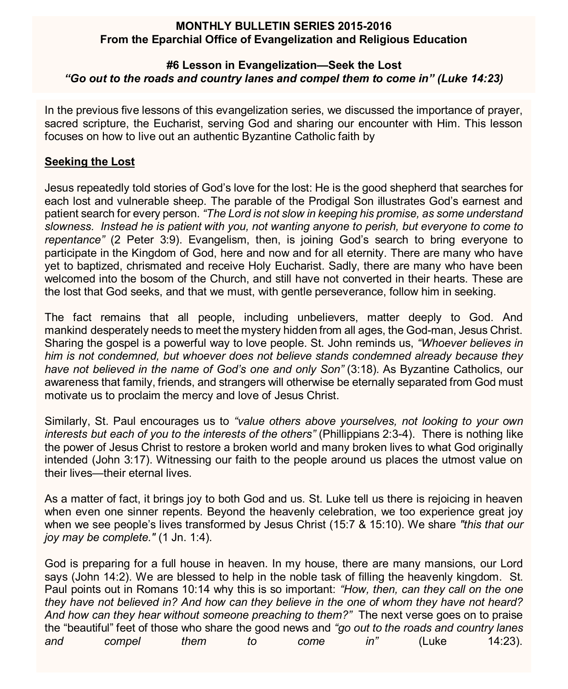# **MONTHLY BULLETIN SERIES 2015-2016 From the Eparchial Office of Evangelization and Religious Education**

# **#6 Lesson in Evangelization—Seek the Lost** *"Go out to the roads and country lanes and compel them to come in" (Luke 14:23)*

In the previous five lessons of this evangelization series, we discussed the importance of prayer, sacred scripture, the Eucharist, serving God and sharing our encounter with Him. This lesson focuses on how to live out an authentic Byzantine Catholic faith by

# **Seeking the Lost**

Jesus repeatedly told stories of God's love for the lost: He is the good shepherd that searches for each lost and vulnerable sheep. The parable of the Prodigal Son illustrates God's earnest and patient search for every person. *"The Lord is not slow in keeping his promise, as some understand slowness. Instead he is patient with you, not wanting anyone to perish, but everyone to come to repentance"* (2 Peter 3:9). Evangelism, then, is joining God's search to bring everyone to participate in the Kingdom of God, here and now and for all eternity. There are many who have yet to baptized, chrismated and receive Holy Eucharist. Sadly, there are many who have been welcomed into the bosom of the Church, and still have not converted in their hearts. These are the lost that God seeks, and that we must, with gentle perseverance, follow him in seeking.

The fact remains that all people, including unbelievers, matter deeply to God. And mankind desperately needs to meet the mystery hidden from all ages, the God-man, Jesus Christ. Sharing the gospel is a powerful way to love people. St. John reminds us, *"Whoever believes in him is not condemned, but whoever does not believe stands condemned already because they have not believed in the name of God's one and only Son"* (3:18)*.* As Byzantine Catholics, our awareness that family, friends, and strangers will otherwise be eternally separated from God must motivate us to proclaim the mercy and love of Jesus Christ.

Similarly, St. Paul encourages us to *"value others above yourselves, not looking to your own interests but each of you to the interests of the others"* (Phillippians 2:3-4). There is nothing like the power of Jesus Christ to restore a broken world and many broken lives to what God originally intended (John 3:17). Witnessing our faith to the people around us places the utmost value on their lives—their eternal lives.

As a matter of fact, it brings joy to both God and us. St. Luke tell us there is rejoicing in heaven when even one sinner repents. Beyond the heavenly celebration, we too experience great joy when we see people's lives transformed by Jesus Christ (15:7 & 15:10). We share *"this that our joy may be complete."* (1 Jn. 1:4).

God is preparing for a full house in heaven. In my house, there are many mansions, our Lord says (John 14:2). We are blessed to help in the noble task of filling the heavenly kingdom. St. Paul points out in Romans 10:14 why this is so important: *"How, then, can they call on the one they have not believed in? And how can they believe in the one of whom they have not heard? And how can they hear without someone preaching to them?"* The next verse goes on to praise the "beautiful" feet of those who share the good news and *"go out to the roads and country lanes and compel them to come in"* (Luke 14:23).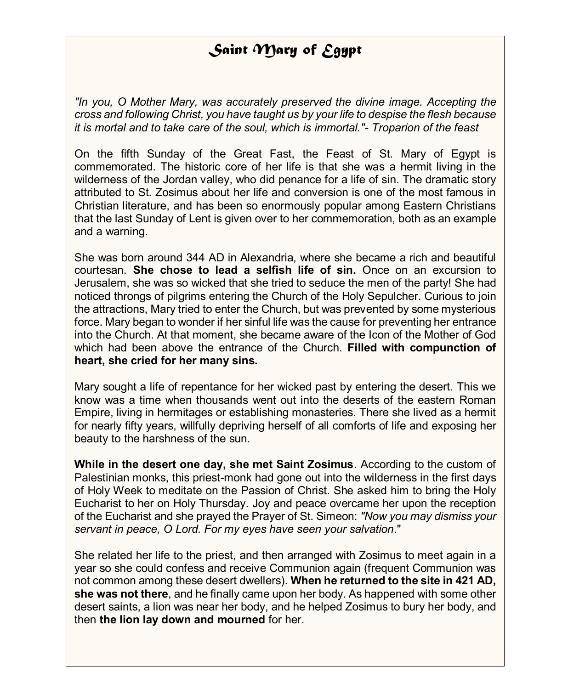# *Saint Mary of Egypt*

*"In you, O Mother Mary, was accurately preserved the divine image. Accepting the cross and following Christ, you have taught us by your life to despise the flesh because it is mortal and to take care of the soul, which is immortal."- Troparion of the feast*

On the fifth Sunday of the Great Fast, the Feast of St. Mary of Egypt is commemorated. The historic core of her life is that she was a hermit living in the wilderness of the Jordan valley, who did penance for a life of sin. The dramatic story attributed to St. Zosimus about her life and conversion is one of the most famous in Christian literature, and has been so enormously popular among Eastern Christians that the last Sunday of Lent is given over to her commemoration, both as an example and a warning.

She was born around 344 AD in Alexandria, where she became a rich and beautiful courtesan. **She chose to lead a selfish life of sin.** Once on an excursion to Jerusalem, she was so wicked that she tried to seduce the men of the party! She had noticed throngs of pilgrims entering the Church of the Holy Sepulcher. Curious to join the attractions, Mary tried to enter the Church, but was prevented by some mysterious force. Mary began to wonder if her sinful life was the cause for preventing her entrance into the Church. At that moment, she became aware of the Icon of the Mother of God which had been above the entrance of the Church. **Filled with compunction of heart, she cried for her many sins.**

Mary sought a life of repentance for her wicked past by entering the desert. This we know was a time when thousands went out into the deserts of the eastern Roman Empire, living in hermitages or establishing monasteries. There she lived as a hermit for nearly fifty years, willfully depriving herself of all comforts of life and exposing her beauty to the harshness of the sun.

**While in the desert one day, she met Saint Zosimus**. According to the custom of Palestinian monks, this priest-monk had gone out into the wilderness in the first days of Holy Week to meditate on the Passion of Christ. She asked him to bring the Holy Eucharist to her on Holy Thursday. Joy and peace overcame her upon the reception of the Eucharist and she prayed the Prayer of St. Simeon: *"Now you may dismiss your servant in peace, O Lord. For my eyes have seen your salvation*."

She related her life to the priest, and then arranged with Zosimus to meet again in a year so she could confess and receive Communion again (frequent Communion was not common among these desert dwellers). **When he returned to the site in 421 AD, she was not there**, and he finally came upon her body. As happened with some other desert saints, a lion was near her body, and he helped Zosimus to bury her body, and then **the lion lay down and mourned** for her.